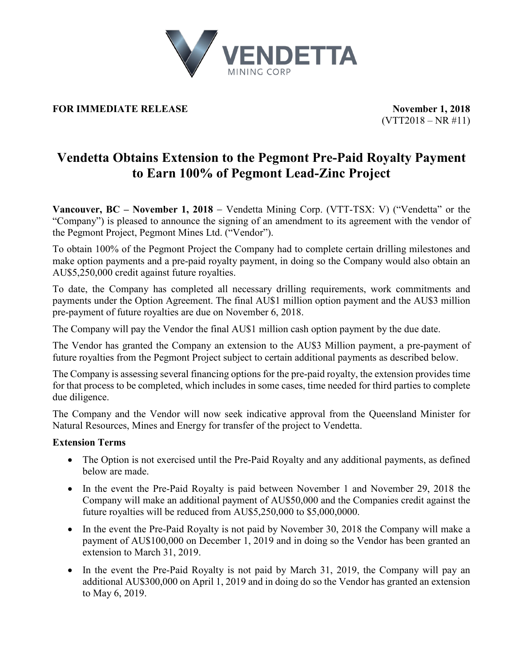

## **FOR IMMEDIATE RELEASE November 1, 2018**

 $(VTT2018 - NR #11)$ 

# **Vendetta Obtains Extension to the Pegmont Pre-Paid Royalty Payment to Earn 100% of Pegmont Lead-Zinc Project**

**Vancouver, BC – November 1, 2018** − Vendetta Mining Corp. (VTT-TSX: V) ("Vendetta" or the "Company") is pleased to announce the signing of an amendment to its agreement with the vendor of the Pegmont Project, Pegmont Mines Ltd. ("Vendor").

To obtain 100% of the Pegmont Project the Company had to complete certain drilling milestones and make option payments and a pre-paid royalty payment, in doing so the Company would also obtain an AU\$5,250,000 credit against future royalties.

To date, the Company has completed all necessary drilling requirements, work commitments and payments under the Option Agreement. The final AU\$1 million option payment and the AU\$3 million pre-payment of future royalties are due on November 6, 2018.

The Company will pay the Vendor the final AU\$1 million cash option payment by the due date.

The Vendor has granted the Company an extension to the AU\$3 Million payment, a pre-payment of future royalties from the Pegmont Project subject to certain additional payments as described below.

The Company is assessing several financing options for the pre-paid royalty, the extension provides time for that process to be completed, which includes in some cases, time needed for third parties to complete due diligence.

The Company and the Vendor will now seek indicative approval from the Queensland Minister for Natural Resources, Mines and Energy for transfer of the project to Vendetta.

### **Extension Terms**

- The Option is not exercised until the Pre-Paid Royalty and any additional payments, as defined below are made.
- In the event the Pre-Paid Royalty is paid between November 1 and November 29, 2018 the Company will make an additional payment of AU\$50,000 and the Companies credit against the future royalties will be reduced from AU\$5,250,000 to \$5,000,0000.
- In the event the Pre-Paid Royalty is not paid by November 30, 2018 the Company will make a payment of AU\$100,000 on December 1, 2019 and in doing so the Vendor has been granted an extension to March 31, 2019.
- In the event the Pre-Paid Royalty is not paid by March 31, 2019, the Company will pay an additional AU\$300,000 on April 1, 2019 and in doing do so the Vendor has granted an extension to May 6, 2019.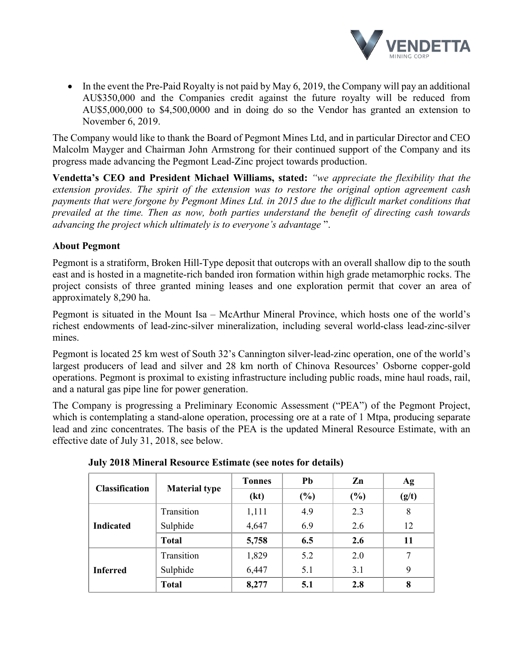

• In the event the Pre-Paid Royalty is not paid by May 6, 2019, the Company will pay an additional AU\$350,000 and the Companies credit against the future royalty will be reduced from AU\$5,000,000 to \$4,500,0000 and in doing do so the Vendor has granted an extension to November 6, 2019.

The Company would like to thank the Board of Pegmont Mines Ltd, and in particular Director and CEO Malcolm Mayger and Chairman John Armstrong for their continued support of the Company and its progress made advancing the Pegmont Lead-Zinc project towards production.

**Vendetta's CEO and President Michael Williams, stated:** *"we appreciate the flexibility that the extension provides. The spirit of the extension was to restore the original option agreement cash payments that were forgone by Pegmont Mines Ltd. in 2015 due to the difficult market conditions that prevailed at the time. Then as now, both parties understand the benefit of directing cash towards advancing the project which ultimately is to everyone's advantage* ".

## **About Pegmont**

Pegmont is a stratiform, Broken Hill-Type deposit that outcrops with an overall shallow dip to the south east and is hosted in a magnetite-rich banded iron formation within high grade metamorphic rocks. The project consists of three granted mining leases and one exploration permit that cover an area of approximately 8,290 ha.

Pegmont is situated in the Mount Isa – McArthur Mineral Province, which hosts one of the world's richest endowments of lead-zinc-silver mineralization, including several world-class lead-zinc-silver mines.

Pegmont is located 25 km west of South 32's Cannington silver-lead-zinc operation, one of the world's largest producers of lead and silver and 28 km north of Chinova Resources' Osborne copper-gold operations. Pegmont is proximal to existing infrastructure including public roads, mine haul roads, rail, and a natural gas pipe line for power generation.

The Company is progressing a Preliminary Economic Assessment ("PEA") of the Pegmont Project, which is contemplating a stand-alone operation, processing ore at a rate of 1 Mtpa, producing separate lead and zinc concentrates. The basis of the PEA is the updated Mineral Resource Estimate, with an effective date of July 31, 2018, see below.

| <b>Classification</b> | <b>Material type</b> | <b>Tonnes</b> | Pb     | Zn  | Ag    |
|-----------------------|----------------------|---------------|--------|-----|-------|
|                       |                      | (kt)          | $(\%)$ | (%) | (g/t) |
| <b>Indicated</b>      | Transition           | 1,111         | 4.9    | 2.3 | 8     |
|                       | Sulphide             | 4,647         | 6.9    | 2.6 | 12    |
|                       | <b>Total</b>         | 5,758         | 6.5    | 2.6 | 11    |
| <b>Inferred</b>       | Transition           | 1,829         | 5.2    | 2.0 |       |
|                       | Sulphide             | 6,447         | 5.1    | 3.1 | 9     |
|                       | <b>Total</b>         | 8,277         | 5.1    | 2.8 | 8     |

**July 2018 Mineral Resource Estimate (see notes for details)**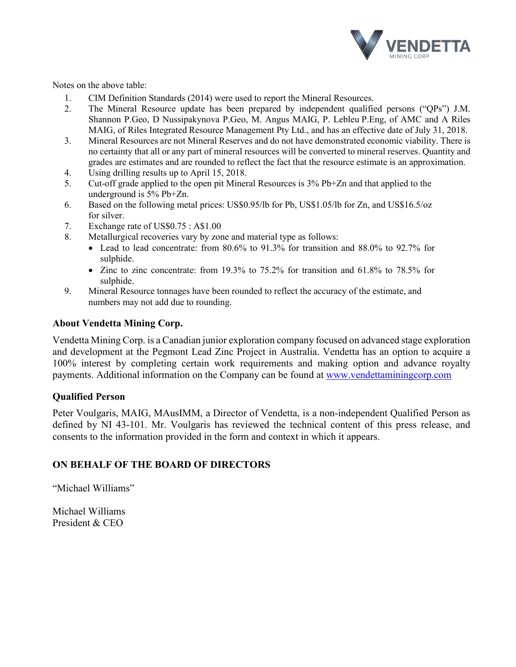

Notes on the above table:

- 1. CIM Definition Standards (2014) were used to report the Mineral Resources.
- 2. The Mineral Resource update has been prepared by independent qualified persons ("QPs") J.M. Shannon P.Geo, D Nussipakynova P.Geo, M. Angus MAIG, P. Lebleu P.Eng, of AMC and A Riles MAIG, of Riles Integrated Resource Management Pty Ltd., and has an effective date of July 31, 2018.
- 3. Mineral Resources are not Mineral Reserves and do not have demonstrated economic viability. There is no certainty that all or any part of mineral resources will be converted to mineral reserves. Quantity and grades are estimates and are rounded to reflect the fact that the resource estimate is an approximation.
- 4. Using drilling results up to April 15, 2018.
- 5. Cut-off grade applied to the open pit Mineral Resources is 3% Pb+Zn and that applied to the underground is 5% Pb+Zn.
- 6. Based on the following metal prices: US\$0.95/lb for Pb, US\$1.05/lb for Zn, and US\$16.5/oz for silver.
- 7. Exchange rate of US\$0.75 : A\$1.00
- 8. Metallurgical recoveries vary by zone and material type as follows:
	- Lead to lead concentrate: from 80.6% to 91.3% for transition and 88.0% to 92.7% for sulphide.
	- Zinc to zinc concentrate: from 19.3% to 75.2% for transition and 61.8% to 78.5% for sulphide.
- 9. Mineral Resource tonnages have been rounded to reflect the accuracy of the estimate, and numbers may not add due to rounding.

### **About Vendetta Mining Corp.**

Vendetta Mining Corp. is a Canadian junior exploration company focused on advanced stage exploration and development at the Pegmont Lead Zinc Project in Australia. Vendetta has an option to acquire a 100% interest by completing certain work requirements and making option and advance royalty payments. Additional information on the Company can be found at [www.vendettaminingcorp.com](http://www.vendettaminingcorp.com/)

### **Qualified Person**

Peter Voulgaris, MAIG, MAusIMM, a Director of Vendetta, is a non-independent Qualified Person as defined by NI 43-101. Mr. Voulgaris has reviewed the technical content of this press release, and consents to the information provided in the form and context in which it appears.

## **ON BEHALF OF THE BOARD OF DIRECTORS**

"Michael Williams"

Michael Williams President & CEO